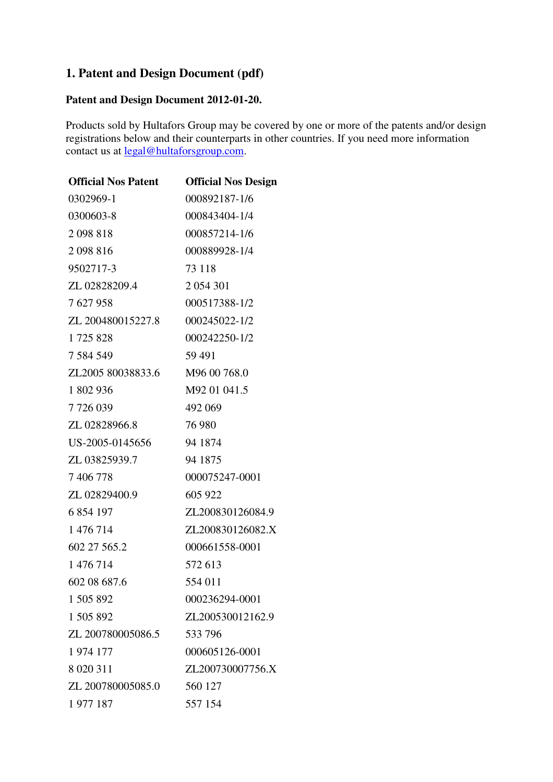## **1. Patent and Design Document (pdf)**

## **Patent and Design Document 2012-01-20.**

Products sold by Hultafors Group may be covered by one or more of the patents and/or design registrations below and their counterparts in other countries. If you need more information contact us at <u>legal@hultaforsgroup.com</u>.

| <b>Official Nos Patent</b> | <b>Official Nos Design</b> |
|----------------------------|----------------------------|
| 0302969-1                  | 000892187-1/6              |
| 0300603-8                  | 000843404-1/4              |
| 2098818                    | 000857214-1/6              |
| 2098816                    | 000889928-1/4              |
| 9502717-3                  | 73 118                     |
| ZL 02828209.4              | 2 0 5 4 3 0 1              |
| 7627958                    | 000517388-1/2              |
| ZL 200480015227.8          | 000245022-1/2              |
| 1725828                    | 000242250-1/2              |
| 7 584 549                  | 59 491                     |
| ZL2005 80038833.6          | M96 00 768.0               |
| 1 802 936                  | M92 01 041.5               |
| 7726039                    | 492 069                    |
| ZL 02828966.8              | 76 980                     |
| US-2005-0145656            | 94 1874                    |
| ZL 03825939.7              | 94 1875                    |
| 7 406 778                  | 000075247-0001             |
| ZL 02829400.9              | 605 922                    |
| 6 854 197                  | ZL200830126084.9           |
| 1 476 714                  | ZL200830126082.X           |
| 602 27 565.2               | 000661558-0001             |
| 1 476 714                  | 572 613                    |
| 602 08 687.6               | 554 011                    |
| 1 505 892                  | 000236294-0001             |
| 1 505 892                  | ZL200530012162.9           |
| ZL 200780005086.5          | 533796                     |
| 1974 177                   | 000605126-0001             |
| 8 0 20 3 11                | ZL200730007756.X           |
| ZL 200780005085.0          | 560 127                    |
| 1977 187                   | 557 154                    |